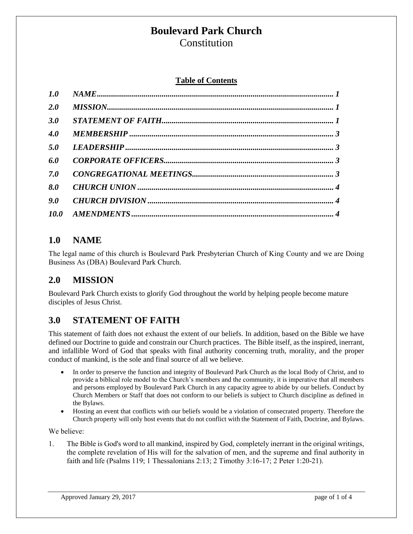# **Boulevard Park Church**

**Constitution** 

#### **Table of Contents**

| 1.0 |  |
|-----|--|
| 2.0 |  |
| 3.0 |  |
| 4.0 |  |
| 5.0 |  |
| 6.0 |  |
| 7.0 |  |
| 8.0 |  |
| 9.0 |  |
|     |  |

#### <span id="page-0-0"></span>**1.0 NAME**

The legal name of this church is Boulevard Park Presbyterian Church of King County and we are Doing Business As (DBA) Boulevard Park Church.

#### <span id="page-0-1"></span>**2.0 MISSION**

Boulevard Park Church exists to glorify God throughout the world by helping people become mature disciples of Jesus Christ.

### <span id="page-0-2"></span>**3.0 STATEMENT OF FAITH**

This statement of faith does not exhaust the extent of our beliefs. In addition, based on the Bible we have defined our Doctrine to guide and constrain our Church practices. The Bible itself, as the inspired, inerrant, and infallible Word of God that speaks with final authority concerning truth, morality, and the proper conduct of mankind, is the sole and final source of all we believe.

- In order to preserve the function and integrity of Boulevard Park Church as the local Body of Christ, and to provide a biblical role model to the Church's members and the community, it is imperative that all members and persons employed by Boulevard Park Church in any capacity agree to abide by our beliefs. Conduct by Church Members or Staff that does not conform to our beliefs is subject to Church discipline as defined in the Bylaws.
- Hosting an event that conflicts with our beliefs would be a violation of consecrated property. Therefore the Church property will only host events that do not conflict with the Statement of Faith, Doctrine, and Bylaws.

We believe:

1. The Bible is God's word to all mankind, inspired by God, completely inerrant in the original writings, the complete revelation of His will for the salvation of men, and the supreme and final authority in faith and life (Psalms 119; 1 Thessalonians 2:13; 2 Timothy 3:16-17; 2 Peter 1:20-21).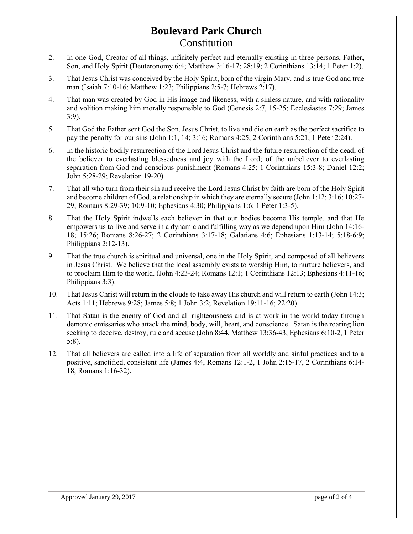## **Boulevard Park Church** Constitution

- 2. In one God, Creator of all things, infinitely perfect and eternally existing in three persons, Father, Son, and Holy Spirit (Deuteronomy 6:4; Matthew 3:16-17; 28:19; 2 Corinthians 13:14; 1 Peter 1:2).
- 3. That Jesus Christ was conceived by the Holy Spirit, born of the virgin Mary, and is true God and true man (Isaiah 7:10-16; Matthew 1:23; Philippians 2:5-7; Hebrews 2:17).
- 4. That man was created by God in His image and likeness, with a sinless nature, and with rationality and volition making him morally responsible to God (Genesis 2:7, 15-25; Ecclesiastes 7:29; James 3:9).
- 5. That God the Father sent God the Son, Jesus Christ, to live and die on earth as the perfect sacrifice to pay the penalty for our sins (John 1:1, 14; 3:16; Romans 4:25; 2 Corinthians 5:21; 1 Peter 2:24).
- 6. In the historic bodily resurrection of the Lord Jesus Christ and the future resurrection of the dead; of the believer to everlasting blessedness and joy with the Lord; of the unbeliever to everlasting separation from God and conscious punishment (Romans 4:25; 1 Corinthians 15:3-8; Daniel 12:2; John 5:28-29; Revelation 19-20).
- 7. That all who turn from their sin and receive the Lord Jesus Christ by faith are born of the Holy Spirit and become children of God, a relationship in which they are eternally secure (John 1:12; 3:16; 10:27- 29; Romans 8:29-39; 10:9-10; Ephesians 4:30; Philippians 1:6; 1 Peter 1:3-5).
- 8. That the Holy Spirit indwells each believer in that our bodies become His temple, and that He empowers us to live and serve in a dynamic and fulfilling way as we depend upon Him (John 14:16- 18; 15:26; Romans 8:26-27; 2 Corinthians 3:17-18; Galatians 4:6; Ephesians 1:13-14; 5:18-6:9; Philippians 2:12-13).
- 9. That the true church is spiritual and universal, one in the Holy Spirit, and composed of all believers in Jesus Christ. We believe that the local assembly exists to worship Him, to nurture believers, and to proclaim Him to the world. (John 4:23-24; Romans 12:1; 1 Corinthians 12:13; Ephesians 4:11-16; Philippians 3:3).
- 10. That Jesus Christ will return in the clouds to take away His church and will return to earth (John 14:3; Acts 1:11; Hebrews 9:28; James 5:8; 1 John 3:2; Revelation 19:11-16; 22:20).
- 11. That Satan is the enemy of God and all righteousness and is at work in the world today through demonic emissaries who attack the mind, body, will, heart, and conscience. Satan is the roaring lion seeking to deceive, destroy, rule and accuse (John 8:44, Matthew 13:36-43, Ephesians 6:10-2, 1 Peter 5:8).
- 12. That all believers are called into a life of separation from all worldly and sinful practices and to a positive, sanctified, consistent life (James 4:4, Romans 12:1-2, 1 John 2:15-17, 2 Corinthians 6:14- 18, Romans 1:16-32).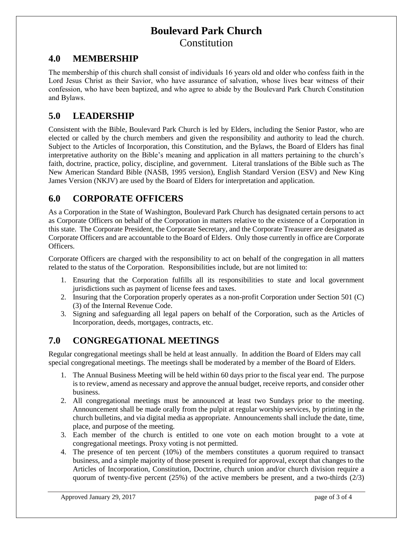## **Boulevard Park Church Constitution**

#### <span id="page-2-0"></span>**4.0 MEMBERSHIP**

The membership of this church shall consist of individuals 16 years old and older who confess faith in the Lord Jesus Christ as their Savior, who have assurance of salvation, whose lives bear witness of their confession, who have been baptized, and who agree to abide by the Boulevard Park Church Constitution and Bylaws.

#### <span id="page-2-1"></span>**5.0 LEADERSHIP**

Consistent with the Bible, Boulevard Park Church is led by Elders, including the Senior Pastor, who are elected or called by the church members and given the responsibility and authority to lead the church. Subject to the Articles of Incorporation, this Constitution, and the Bylaws, the Board of Elders has final interpretative authority on the Bible's meaning and application in all matters pertaining to the church's faith, doctrine, practice, policy, discipline, and government. Literal translations of the Bible such as The New American Standard Bible (NASB, 1995 version), English Standard Version (ESV) and New King James Version (NKJV) are used by the Board of Elders for interpretation and application.

#### <span id="page-2-2"></span>**6.0 CORPORATE OFFICERS**

As a Corporation in the State of Washington, Boulevard Park Church has designated certain persons to act as Corporate Officers on behalf of the Corporation in matters relative to the existence of a Corporation in this state. The Corporate President, the Corporate Secretary, and the Corporate Treasurer are designated as Corporate Officers and are accountable to the Board of Elders. Only those currently in office are Corporate Officers.

Corporate Officers are charged with the responsibility to act on behalf of the congregation in all matters related to the status of the Corporation. Responsibilities include, but are not limited to:

- 1. Ensuring that the Corporation fulfills all its responsibilities to state and local government jurisdictions such as payment of license fees and taxes.
- 2. Insuring that the Corporation properly operates as a non-profit Corporation under Section 501 (C) (3) of the Internal Revenue Code.
- 3. Signing and safeguarding all legal papers on behalf of the Corporation, such as the Articles of Incorporation, deeds, mortgages, contracts, etc.

### <span id="page-2-3"></span>**7.0 CONGREGATIONAL MEETINGS**

Regular congregational meetings shall be held at least annually. In addition the Board of Elders may call special congregational meetings. The meetings shall be moderated by a member of the Board of Elders.

- 1. The Annual Business Meeting will be held within 60 days prior to the fiscal year end. The purpose is to review, amend as necessary and approve the annual budget, receive reports, and consider other business.
- 2. All congregational meetings must be announced at least two Sundays prior to the meeting. Announcement shall be made orally from the pulpit at regular worship services, by printing in the church bulletins, and via digital media as appropriate. Announcements shall include the date, time, place, and purpose of the meeting.
- 3. Each member of the church is entitled to one vote on each motion brought to a vote at congregational meetings. Proxy voting is not permitted.
- 4. The presence of ten percent (10%) of the members constitutes a quorum required to transact business, and a simple majority of those present is required for approval, except that changes to the Articles of Incorporation, Constitution, Doctrine, church union and/or church division require a quorum of twenty-five percent  $(25%)$  of the active members be present, and a two-thirds  $(2/3)$